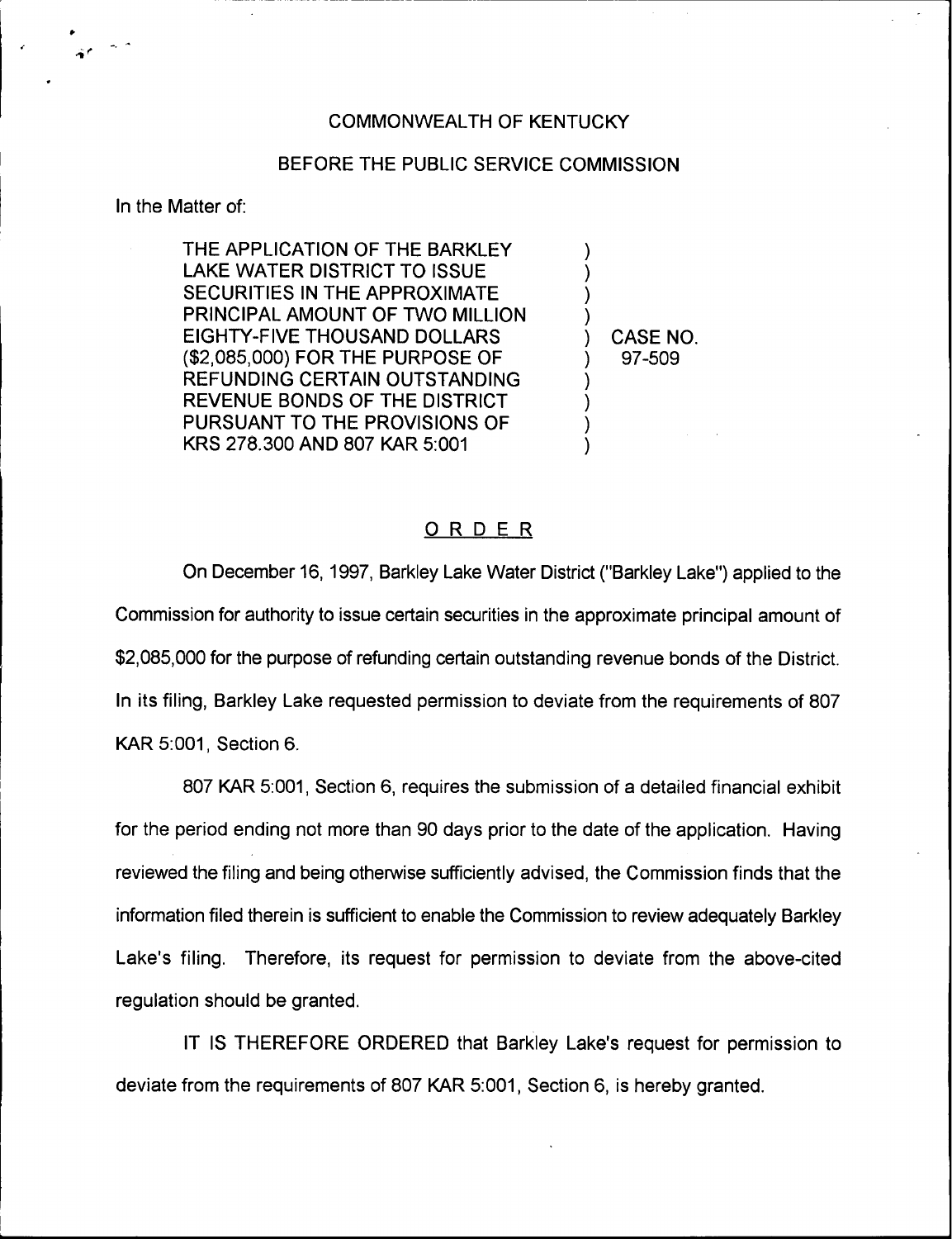## COMMONWEALTH OF KENTUCKY

## BEFORE THE PUBLIC SERVICE COMMISSION

In the Matter of:

THE APPLICATION OF THE BARKLEY LAKE WATER DISTRICT TO ISSUE SECURITIES IN THE APPROXIMATE PRINCIPAL AMOUNT OF TWO MILLION EIGHTY-FIVE THOUSAND DOLLARS (\$2,085,000) FOR THE PURPOSE OF REFUNDING CERTAIN OUTSTANDING REVENUE BONDS OF THE DISTRICT PURSUANT TO THE PROVISIONS OF KRS 278.300 AND 807 KAR 5:001

) CASE NO. ) 97-509

) )  $\overline{\phantom{a}}$ )

)  $\overline{\phantom{a}}$ ) )

## ORDER

On December 16, 1997, Barkley Lake Water District ("Barkley Lake") applied to the Commission for authority to issue certain securities in the approximate principal amount of \$2,085,000 for the purpose of refunding certain outstanding revenue bonds of the District. In its filing, Barkley Lake requested permission to deviate from the requirements of 807 KAR 5:001, Section 6.

807 KAR 5:001, Section 6, requires the submission of a detailed financial exhibit for the period ending not more than 90 days prior to the date of the application, Having reviewed the filing and being otherwise sufficiently advised, the Commission finds that the information filed therein is sufficient to enable the Commission to review adequately Barkley Lake's filing. Therefore, its request for permission to deviate from the above-cited regulation should be granted.

IT IS THEREFORE ORDERED that Barkley Lake's request for permission to deviate from the requirements of 807 KAR 5:001, Section 6, is hereby granted.